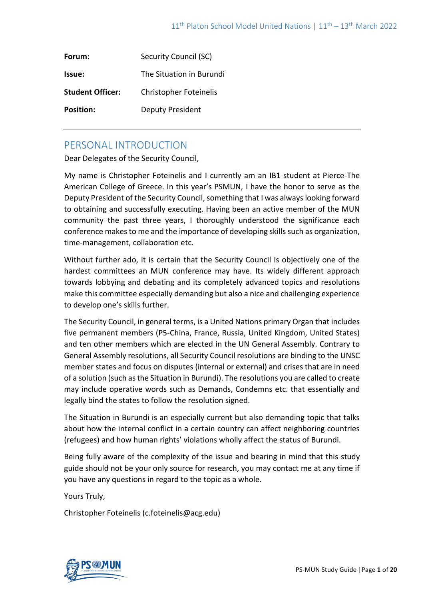| Forum:                  | Security Council (SC)         |
|-------------------------|-------------------------------|
| Issue:                  | The Situation in Burundi      |
| <b>Student Officer:</b> | <b>Christopher Foteinelis</b> |
| <b>Position:</b>        | Deputy President              |

# PERSONAL INTRODUCTION

Dear Delegates of the Security Council,

My name is Christopher Foteinelis and I currently am an IB1 student at Pierce-The American College of Greece. In this year's PSMUN, I have the honor to serve as the Deputy President of the Security Council, something that I was always looking forward to obtaining and successfully executing. Having been an active member of the MUN community the past three years, I thoroughly understood the significance each conference makes to me and the importance of developing skills such as organization, time-management, collaboration etc.

Without further ado, it is certain that the Security Council is objectively one of the hardest committees an MUN conference may have. Its widely different approach towards lobbying and debating and its completely advanced topics and resolutions make this committee especially demanding but also a nice and challenging experience to develop one's skills further.

The Security Council, in general terms, is a United Nations primary Organ that includes five permanent members (P5-China, France, Russia, United Kingdom, United States) and ten other members which are elected in the UN General Assembly. Contrary to General Assembly resolutions, all Security Council resolutions are binding to the UNSC member states and focus on disputes (internal or external) and crises that are in need of a solution (such as the Situation in Burundi). The resolutions you are called to create may include operative words such as Demands, Condemns etc. that essentially and legally bind the states to follow the resolution signed.

The Situation in Burundi is an especially current but also demanding topic that talks about how the internal conflict in a certain country can affect neighboring countries (refugees) and how human rights' violations wholly affect the status of Burundi.

Being fully aware of the complexity of the issue and bearing in mind that this study guide should not be your only source for research, you may contact me at any time if you have any questions in regard to the topic as a whole.

Yours Truly,

Christopher Foteinelis (c.foteinelis@acg.edu)

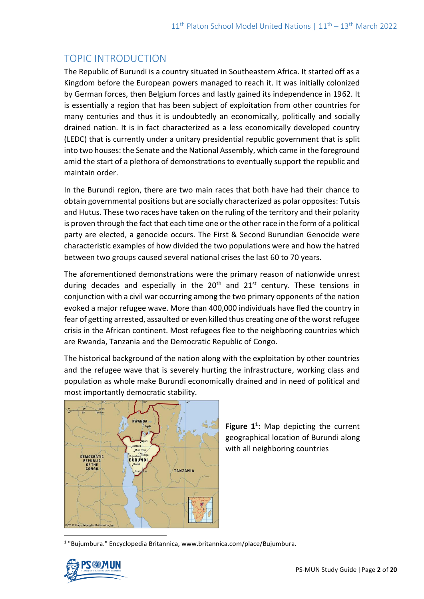# TOPIC INTRODUCTION

The Republic of Burundi is a country situated in Southeastern Africa. It started off as a Kingdom before the European powers managed to reach it. It was initially colonized by German forces, then Belgium forces and lastly gained its independence in 1962. It is essentially a region that has been subject of exploitation from other countries for many centuries and thus it is undoubtedly an economically, politically and socially drained nation. It is in fact characterized as a less economically developed country (LEDC) that is currently under a unitary presidential republic government that is split into two houses: the Senate and the National Assembly, which came in the foreground amid the start of a plethora of demonstrations to eventually support the republic and maintain order.

In the Burundi region, there are two main races that both have had their chance to obtain governmental positions but are socially characterized as polar opposites: Tutsis and Hutus. These two races have taken on the ruling of the territory and their polarity is proven through the fact that each time one or the other race in the form of a political party are elected, a genocide occurs. The First & Second Burundian Genocide were characteristic examples of how divided the two populations were and how the hatred between two groups caused several national crises the last 60 to 70 years.

The aforementioned demonstrations were the primary reason of nationwide unrest during decades and especially in the  $20<sup>th</sup>$  and  $21<sup>st</sup>$  century. These tensions in conjunction with a civil war occurring among the two primary opponents of the nation evoked a major refugee wave. More than 400,000 individuals have fled the country in fear of getting arrested, assaulted or even killed thus creating one of the worst refugee crisis in the African continent. Most refugees flee to the neighboring countries which are Rwanda, Tanzania and the Democratic Republic of Congo.

The historical background of the nation along with the exploitation by other countries and the refugee wave that is severely hurting the infrastructure, working class and population as whole make Burundi economically drained and in need of political and most importantly democratic stability.



**Figure 1<sup>1</sup> :** Map depicting the current geographical location of Burundi along with all neighboring countries

<sup>1</sup> "Bujumbura." Encyclopedia Britannica, www.britannica.com/place/Bujumbura.

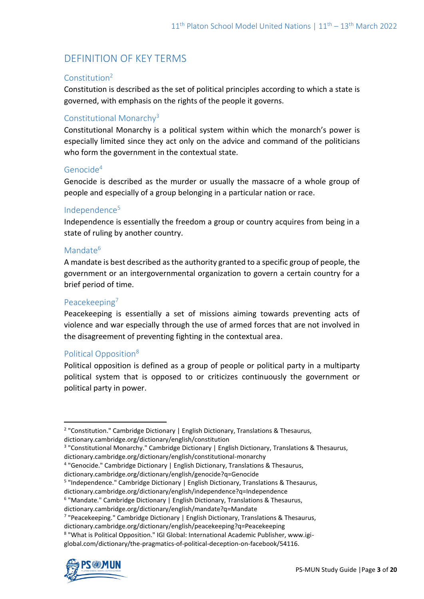# DEFINITION OF KEY TERMS

#### Constitution<sup>2</sup>

Constitution is described as the set of political principles according to which a state is governed, with emphasis on the rights of the people it governs.

#### Constitutional Monarchy<sup>3</sup>

Constitutional Monarchy is a political system within which the monarch's power is especially limited since they act only on the advice and command of the politicians who form the government in the contextual state.

#### Genocide<sup>4</sup>

Genocide is described as the murder or usually the massacre of a whole group of people and especially of a group belonging in a particular nation or race.

#### Independence<sup>5</sup>

Independence is essentially the freedom a group or country acquires from being in a state of ruling by another country.

#### Mandate<sup>6</sup>

A mandate is best described as the authority granted to a specific group of people, the government or an intergovernmental organization to govern a certain country for a brief period of time.

#### Peacekeeping<sup>7</sup>

Peacekeeping is essentially a set of missions aiming towards preventing acts of violence and war especially through the use of armed forces that are not involved in the disagreement of preventing fighting in the contextual area.

#### Political Opposition<sup>8</sup>

Political opposition is defined as a group of people or political party in a multiparty political system that is opposed to or criticizes continuously the government or political party in power.

<sup>4</sup> "Genocide." Cambridge Dictionary | English Dictionary, Translations & Thesaurus,

dictionary.cambridge.org/dictionary/english/genocide?q=Genocide

<sup>5</sup> "Independence." Cambridge Dictionary | English Dictionary, Translations & Thesaurus,

dictionary.cambridge.org/dictionary/english/independence?q=Independence

<sup>7</sup> "Peacekeeping." Cambridge Dictionary | English Dictionary, Translations & Thesaurus,

dictionary.cambridge.org/dictionary/english/peacekeeping?q=Peacekeeping

global.com/dictionary/the-pragmatics-of-political-deception-on-facebook/54116.



<sup>&</sup>lt;sup>2</sup> "Constitution." Cambridge Dictionary | English Dictionary, Translations & Thesaurus, dictionary.cambridge.org/dictionary/english/constitution

<sup>&</sup>lt;sup>3</sup> "Constitutional Monarchy." Cambridge Dictionary | English Dictionary, Translations & Thesaurus, dictionary.cambridge.org/dictionary/english/constitutional-monarchy

<sup>&</sup>lt;sup>6</sup> "Mandate." Cambridge Dictionary | English Dictionary, Translations & Thesaurus,

dictionary.cambridge.org/dictionary/english/mandate?q=Mandate

<sup>&</sup>lt;sup>8</sup> "What is Political Opposition." IGI Global: International Academic Publisher, www.igi-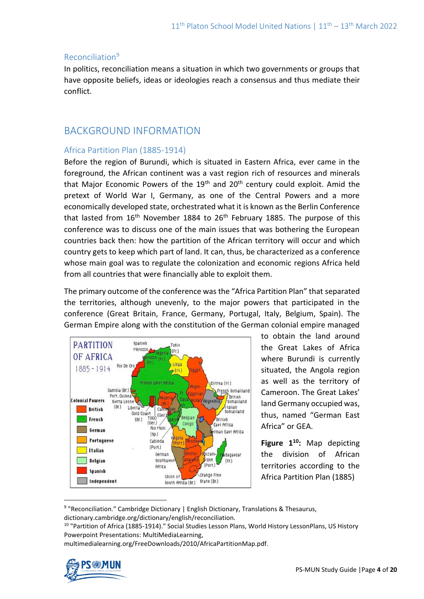#### Reconciliation<sup>9</sup>

In politics, reconciliation means a situation in which two governments or groups that have opposite beliefs, ideas or ideologies reach a consensus and thus mediate their conflict.

## BACKGROUND INFORMATION

#### Africa Partition Plan (1885-1914)

Before the region of Burundi, which is situated in Eastern Africa, ever came in the foreground, the African continent was a vast region rich of resources and minerals that Major Economic Powers of the  $19<sup>th</sup>$  and  $20<sup>th</sup>$  century could exploit. Amid the pretext of World War I, Germany, as one of the Central Powers and a more economically developed state, orchestrated what it is known as the Berlin Conference that lasted from  $16<sup>th</sup>$  November 1884 to  $26<sup>th</sup>$  February 1885. The purpose of this conference was to discuss one of the main issues that was bothering the European countries back then: how the partition of the African territory will occur and which country gets to keep which part of land. It can, thus, be characterized as a conference whose main goal was to regulate the colonization and economic regions Africa held from all countries that were financially able to exploit them.

The primary outcome of the conference was the "Africa Partition Plan" that separated the territories, although unevenly, to the major powers that participated in the conference (Great Britain, France, Germany, Portugal, Italy, Belgium, Spain). The German Empire along with the constitution of the German colonial empire managed



to obtain the land around the Great Lakes of Africa where Burundi is currently situated, the Angola region as well as the territory of Cameroon. The Great Lakes' land Germany occupied was, thus, named "German East Africa" or GEA.

**Figure 1<sup>10</sup>:** Map depicting the division of African territories according to the Africa Partition Plan (1885)

multimedialearning.org/FreeDownloads/2010/AfricaPartitionMap.pdf.



<sup>&</sup>lt;sup>9</sup> "Reconciliation." Cambridge Dictionary | English Dictionary, Translations & Thesaurus, dictionary.cambridge.org/dictionary/english/reconciliation.

<sup>&</sup>lt;sup>10</sup> "Partition of Africa (1885-1914)." Social Studies Lesson Plans, World History LessonPlans, US History Powerpoint Presentations: MultiMediaLearning,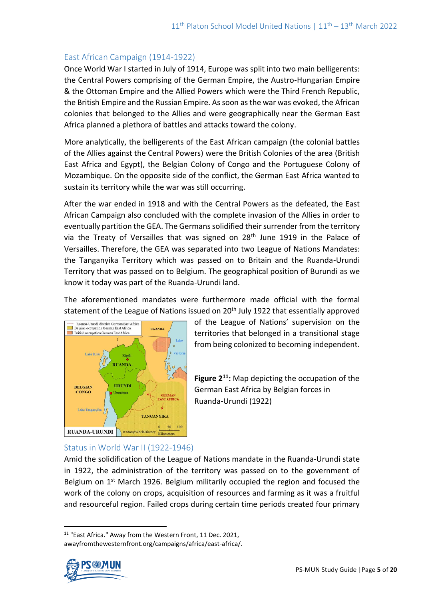#### East African Campaign (1914-1922)

Once World War I started in July of 1914, Europe was split into two main belligerents: the Central Powers comprising of the German Empire, the Austro-Hungarian Empire & the Ottoman Empire and the Allied Powers which were the Third French Republic, the British Empire and the Russian Empire. As soon as the war was evoked, the African colonies that belonged to the Allies and were geographically near the German East Africa planned a plethora of battles and attacks toward the colony.

More analytically, the belligerents of the East African campaign (the colonial battles of the Allies against the Central Powers) were the British Colonies of the area (British East Africa and Egypt), the Belgian Colony of Congo and the Portuguese Colony of Mozambique. On the opposite side of the conflict, the German East Africa wanted to sustain its territory while the war was still occurring.

After the war ended in 1918 and with the Central Powers as the defeated, the East African Campaign also concluded with the complete invasion of the Allies in order to eventually partition the GEA. The Germans solidified their surrender from the territory via the Treaty of Versailles that was signed on 28<sup>th</sup> June 1919 in the Palace of Versailles. Therefore, the GEA was separated into two League of Nations Mandates: the Tanganyika Territory which was passed on to Britain and the Ruanda-Urundi Territory that was passed on to Belgium. The geographical position of Burundi as we know it today was part of the Ruanda-Urundi land.

The aforementioned mandates were furthermore made official with the formal statement of the League of Nations issued on 20<sup>th</sup> July 1922 that essentially approved



of the League of Nations' supervision on the territories that belonged in a transitional stage from being colonized to becoming independent.

**Figure 2<sup>11</sup>:** Map depicting the occupation of the German East Africa by Belgian forces in Ruanda-Urundi (1922)

### Status in World War II (1922-1946)

Amid the solidification of the League of Nations mandate in the Ruanda-Urundi state in 1922, the administration of the territory was passed on to the government of Belgium on 1<sup>st</sup> March 1926. Belgium militarily occupied the region and focused the work of the colony on crops, acquisition of resources and farming as it was a fruitful and resourceful region. Failed crops during certain time periods created four primary

<sup>&</sup>lt;sup>11</sup> "East Africa." Away from the Western Front, 11 Dec. 2021, awayfromthewesternfront.org/campaigns/africa/east-africa/.

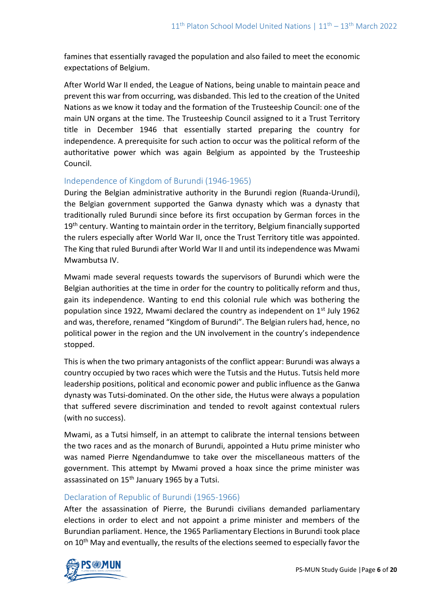famines that essentially ravaged the population and also failed to meet the economic expectations of Belgium.

After World War II ended, the League of Nations, being unable to maintain peace and prevent this war from occurring, was disbanded. This led to the creation of the United Nations as we know it today and the formation of the Trusteeship Council: one of the main UN organs at the time. The Trusteeship Council assigned to it a Trust Territory title in December 1946 that essentially started preparing the country for independence. A prerequisite for such action to occur was the political reform of the authoritative power which was again Belgium as appointed by the Trusteeship Council.

#### Independence of Kingdom of Burundi (1946-1965)

During the Belgian administrative authority in the Burundi region (Ruanda-Urundi), the Belgian government supported the Ganwa dynasty which was a dynasty that traditionally ruled Burundi since before its first occupation by German forces in the 19<sup>th</sup> century. Wanting to maintain order in the territory, Belgium financially supported the rulers especially after World War II, once the Trust Territory title was appointed. The King that ruled Burundi after World War II and until its independence was Mwami Mwambutsa IV.

Mwami made several requests towards the supervisors of Burundi which were the Belgian authorities at the time in order for the country to politically reform and thus, gain its independence. Wanting to end this colonial rule which was bothering the population since 1922, Mwami declared the country as independent on  $1<sup>st</sup>$  July 1962 and was, therefore, renamed "Kingdom of Burundi". The Belgian rulers had, hence, no political power in the region and the UN involvement in the country's independence stopped.

This is when the two primary antagonists of the conflict appear: Burundi was always a country occupied by two races which were the Tutsis and the Hutus. Tutsis held more leadership positions, political and economic power and public influence as the Ganwa dynasty was Tutsi-dominated. On the other side, the Hutus were always a population that suffered severe discrimination and tended to revolt against contextual rulers (with no success).

Mwami, as a Tutsi himself, in an attempt to calibrate the internal tensions between the two races and as the monarch of Burundi, appointed a Hutu prime minister who was named Pierre Ngendandumwe to take over the miscellaneous matters of the government. This attempt by Mwami proved a hoax since the prime minister was assassinated on 15<sup>th</sup> January 1965 by a Tutsi.

### Declaration of Republic of Burundi (1965-1966)

After the assassination of Pierre, the Burundi civilians demanded parliamentary elections in order to elect and not appoint a prime minister and members of the Burundian parliament. Hence, the 1965 Parliamentary Elections in Burundi took place on 10<sup>th</sup> May and eventually, the results of the elections seemed to especially favor the

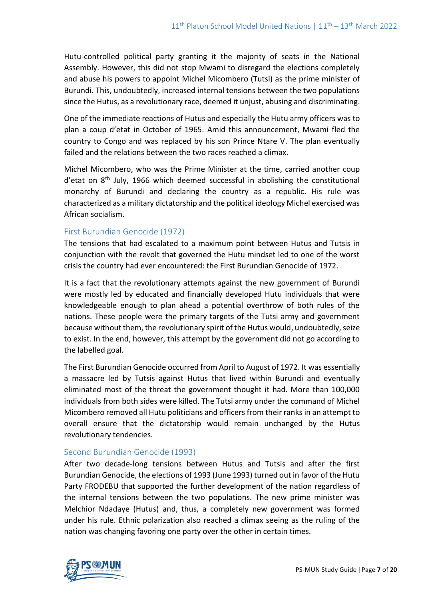Hutu-controlled political party granting it the majority of seats in the National Assembly. However, this did not stop Mwami to disregard the elections completely and abuse his powers to appoint Michel Micombero (Tutsi) as the prime minister of Burundi. This, undoubtedly, increased internal tensions between the two populations since the Hutus, as a revolutionary race, deemed it unjust, abusing and discriminating.

One of the immediate reactions of Hutus and especially the Hutu army officers was to plan a coup d'etat in October of 1965. Amid this announcement, Mwami fled the country to Congo and was replaced by his son Prince Ntare V. The plan eventually failed and the relations between the two races reached a climax.

Michel Micombero, who was the Prime Minister at the time, carried another coup d'etat on 8<sup>th</sup> July, 1966 which deemed successful in abolishing the constitutional monarchy of Burundi and declaring the country as a republic. His rule was characterized as a military dictatorship and the political ideology Michel exercised was African socialism.

#### First Burundian Genocide (1972)

The tensions that had escalated to a maximum point between Hutus and Tutsis in conjunction with the revolt that governed the Hutu mindset led to one of the worst crisis the country had ever encountered: the First Burundian Genocide of 1972.

It is a fact that the revolutionary attempts against the new government of Burundi were mostly led by educated and financially developed Hutu individuals that were knowledgeable enough to plan ahead a potential overthrow of both rules of the nations. These people were the primary targets of the Tutsi army and government because without them, the revolutionary spirit of the Hutus would, undoubtedly, seize to exist. In the end, however, this attempt by the government did not go according to the labelled goal.

The First Burundian Genocide occurred from April to August of 1972. It was essentially a massacre led by Tutsis against Hutus that lived within Burundi and eventually eliminated most of the threat the government thought it had. More than 100,000 individuals from both sides were killed. The Tutsi army under the command of Michel Micombero removed all Hutu politicians and officers from their ranks in an attempt to overall ensure that the dictatorship would remain unchanged by the Hutus revolutionary tendencies.

#### Second Burundian Genocide (1993)

After two decade-long tensions between Hutus and Tutsis and after the first Burundian Genocide, the elections of 1993 (June 1993) turned out in favor of the Hutu Party FRODEBU that supported the further development of the nation regardless of the internal tensions between the two populations. The new prime minister was Melchior Ndadaye (Hutus) and, thus, a completely new government was formed under his rule. Ethnic polarization also reached a climax seeing as the ruling of the nation was changing favoring one party over the other in certain times.

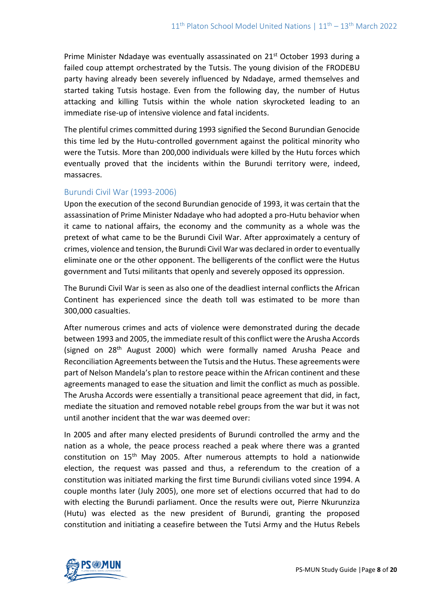Prime Minister Ndadaye was eventually assassinated on 21<sup>st</sup> October 1993 during a failed coup attempt orchestrated by the Tutsis. The young division of the FRODEBU party having already been severely influenced by Ndadaye, armed themselves and started taking Tutsis hostage. Even from the following day, the number of Hutus attacking and killing Tutsis within the whole nation skyrocketed leading to an immediate rise-up of intensive violence and fatal incidents.

The plentiful crimes committed during 1993 signified the Second Burundian Genocide this time led by the Hutu-controlled government against the political minority who were the Tutsis. More than 200,000 individuals were killed by the Hutu forces which eventually proved that the incidents within the Burundi territory were, indeed, massacres.

#### Burundi Civil War (1993-2006)

Upon the execution of the second Burundian genocide of 1993, it was certain that the assassination of Prime Minister Ndadaye who had adopted a pro-Hutu behavior when it came to national affairs, the economy and the community as a whole was the pretext of what came to be the Burundi Civil War. After approximately a century of crimes, violence and tension, the Burundi Civil War was declared in order to eventually eliminate one or the other opponent. The belligerents of the conflict were the Hutus government and Tutsi militants that openly and severely opposed its oppression.

The Burundi Civil War is seen as also one of the deadliest internal conflicts the African Continent has experienced since the death toll was estimated to be more than 300,000 casualties.

After numerous crimes and acts of violence were demonstrated during the decade between 1993 and 2005, the immediate result of this conflict were the Arusha Accords (signed on  $28<sup>th</sup>$  August 2000) which were formally named Arusha Peace and Reconciliation Agreements between the Tutsis and the Hutus. These agreements were part of Nelson Mandela's plan to restore peace within the African continent and these agreements managed to ease the situation and limit the conflict as much as possible. The Arusha Accords were essentially a transitional peace agreement that did, in fact, mediate the situation and removed notable rebel groups from the war but it was not until another incident that the war was deemed over:

In 2005 and after many elected presidents of Burundi controlled the army and the nation as a whole, the peace process reached a peak where there was a granted constitution on  $15<sup>th</sup>$  May 2005. After numerous attempts to hold a nationwide election, the request was passed and thus, a referendum to the creation of a constitution was initiated marking the first time Burundi civilians voted since 1994. A couple months later (July 2005), one more set of elections occurred that had to do with electing the Burundi parliament. Once the results were out, Pierre Nkurunziza (Hutu) was elected as the new president of Burundi, granting the proposed constitution and initiating a ceasefire between the Tutsi Army and the Hutus Rebels

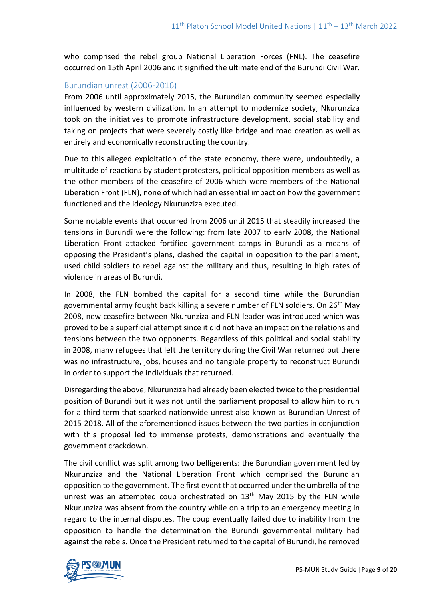who comprised the rebel group National Liberation Forces (FNL). The ceasefire occurred on 15th April 2006 and it signified the ultimate end of the Burundi Civil War.

### Burundian unrest (2006-2016)

From 2006 until approximately 2015, the Burundian community seemed especially influenced by western civilization. In an attempt to modernize society, Nkurunziza took on the initiatives to promote infrastructure development, social stability and taking on projects that were severely costly like bridge and road creation as well as entirely and economically reconstructing the country.

Due to this alleged exploitation of the state economy, there were, undoubtedly, a multitude of reactions by student protesters, political opposition members as well as the other members of the ceasefire of 2006 which were members of the National Liberation Front (FLN), none of which had an essential impact on how the government functioned and the ideology Nkurunziza executed.

Some notable events that occurred from 2006 until 2015 that steadily increased the tensions in Burundi were the following: from late 2007 to early 2008, the National Liberation Front attacked fortified government camps in Burundi as a means of opposing the President's plans, clashed the capital in opposition to the parliament, used child soldiers to rebel against the military and thus, resulting in high rates of violence in areas of Burundi.

In 2008, the FLN bombed the capital for a second time while the Burundian governmental army fought back killing a severe number of FLN soldiers. On  $26<sup>th</sup>$  May 2008, new ceasefire between Nkurunziza and FLN leader was introduced which was proved to be a superficial attempt since it did not have an impact on the relations and tensions between the two opponents. Regardless of this political and social stability in 2008, many refugees that left the territory during the Civil War returned but there was no infrastructure, jobs, houses and no tangible property to reconstruct Burundi in order to support the individuals that returned.

Disregarding the above, Nkurunziza had already been elected twice to the presidential position of Burundi but it was not until the parliament proposal to allow him to run for a third term that sparked nationwide unrest also known as Burundian Unrest of 2015-2018. All of the aforementioned issues between the two parties in conjunction with this proposal led to immense protests, demonstrations and eventually the government crackdown.

The civil conflict was split among two belligerents: the Burundian government led by Nkurunziza and the National Liberation Front which comprised the Burundian opposition to the government. The first event that occurred under the umbrella of the unrest was an attempted coup orchestrated on  $13<sup>th</sup>$  May 2015 by the FLN while Nkurunziza was absent from the country while on a trip to an emergency meeting in regard to the internal disputes. The coup eventually failed due to inability from the opposition to handle the determination the Burundi governmental military had against the rebels. Once the President returned to the capital of Burundi, he removed

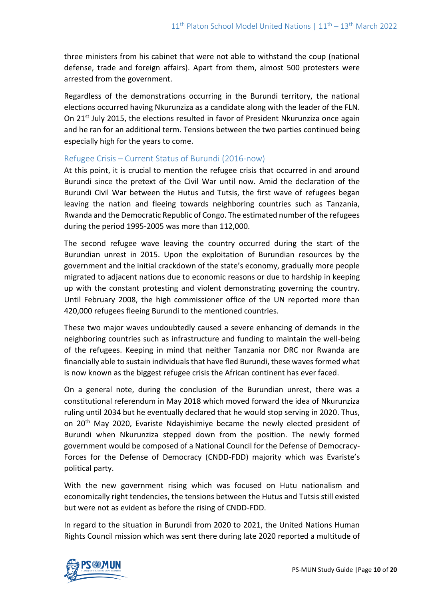three ministers from his cabinet that were not able to withstand the coup (national defense, trade and foreign affairs). Apart from them, almost 500 protesters were arrested from the government.

Regardless of the demonstrations occurring in the Burundi territory, the national elections occurred having Nkurunziza as a candidate along with the leader of the FLN. On  $21<sup>st</sup>$  July 2015, the elections resulted in favor of President Nkurunziza once again and he ran for an additional term. Tensions between the two parties continued being especially high for the years to come.

#### Refugee Crisis – Current Status of Burundi (2016-now)

At this point, it is crucial to mention the refugee crisis that occurred in and around Burundi since the pretext of the Civil War until now. Amid the declaration of the Burundi Civil War between the Hutus and Tutsis, the first wave of refugees began leaving the nation and fleeing towards neighboring countries such as Tanzania, Rwanda and the Democratic Republic of Congo. The estimated number of the refugees during the period 1995-2005 was more than 112,000.

The second refugee wave leaving the country occurred during the start of the Burundian unrest in 2015. Upon the exploitation of Burundian resources by the government and the initial crackdown of the state's economy, gradually more people migrated to adjacent nations due to economic reasons or due to hardship in keeping up with the constant protesting and violent demonstrating governing the country. Until February 2008, the high commissioner office of the UN reported more than 420,000 refugees fleeing Burundi to the mentioned countries.

These two major waves undoubtedly caused a severe enhancing of demands in the neighboring countries such as infrastructure and funding to maintain the well-being of the refugees. Keeping in mind that neither Tanzania nor DRC nor Rwanda are financially able to sustain individuals that have fled Burundi, these waves formed what is now known as the biggest refugee crisis the African continent has ever faced.

On a general note, during the conclusion of the Burundian unrest, there was a constitutional referendum in May 2018 which moved forward the idea of Nkurunziza ruling until 2034 but he eventually declared that he would stop serving in 2020. Thus, on 20th May 2020, Evariste Ndayishimiye became the newly elected president of Burundi when Nkurunziza stepped down from the position. The newly formed government would be composed of a National Council for the Defense of Democracy-Forces for the Defense of Democracy (CNDD-FDD) majority which was Evariste's political party.

With the new government rising which was focused on Hutu nationalism and economically right tendencies, the tensions between the Hutus and Tutsis still existed but were not as evident as before the rising of CNDD-FDD.

In regard to the situation in Burundi from 2020 to 2021, the United Nations Human Rights Council mission which was sent there during late 2020 reported a multitude of

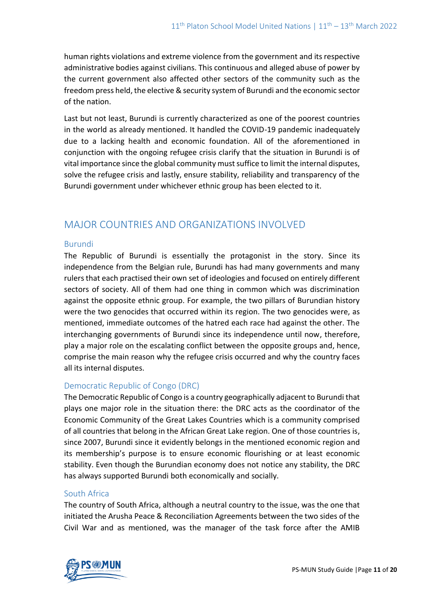human rights violations and extreme violence from the government and its respective administrative bodies against civilians. This continuous and alleged abuse of power by the current government also affected other sectors of the community such as the freedom press held, the elective & security system of Burundi and the economic sector of the nation.

Last but not least, Burundi is currently characterized as one of the poorest countries in the world as already mentioned. It handled the COVID-19 pandemic inadequately due to a lacking health and economic foundation. All of the aforementioned in conjunction with the ongoing refugee crisis clarify that the situation in Burundi is of vital importance since the global community must suffice to limit the internal disputes, solve the refugee crisis and lastly, ensure stability, reliability and transparency of the Burundi government under whichever ethnic group has been elected to it.

## MAJOR COUNTRIES AND ORGANIZATIONS INVOLVED

#### Burundi

The Republic of Burundi is essentially the protagonist in the story. Since its independence from the Belgian rule, Burundi has had many governments and many rulers that each practised their own set of ideologies and focused on entirely different sectors of society. All of them had one thing in common which was discrimination against the opposite ethnic group. For example, the two pillars of Burundian history were the two genocides that occurred within its region. The two genocides were, as mentioned, immediate outcomes of the hatred each race had against the other. The interchanging governments of Burundi since its independence until now, therefore, play a major role on the escalating conflict between the opposite groups and, hence, comprise the main reason why the refugee crisis occurred and why the country faces all its internal disputes.

### Democratic Republic of Congo (DRC)

The Democratic Republic of Congo is a country geographically adjacent to Burundi that plays one major role in the situation there: the DRC acts as the coordinator of the Economic Community of the Great Lakes Countries which is a community comprised of all countries that belong in the African Great Lake region. One of those countries is, since 2007, Burundi since it evidently belongs in the mentioned economic region and its membership's purpose is to ensure economic flourishing or at least economic stability. Even though the Burundian economy does not notice any stability, the DRC has always supported Burundi both economically and socially.

#### South Africa

The country of South Africa, although a neutral country to the issue, was the one that initiated the Arusha Peace & Reconciliation Agreements between the two sides of the Civil War and as mentioned, was the manager of the task force after the AMIB

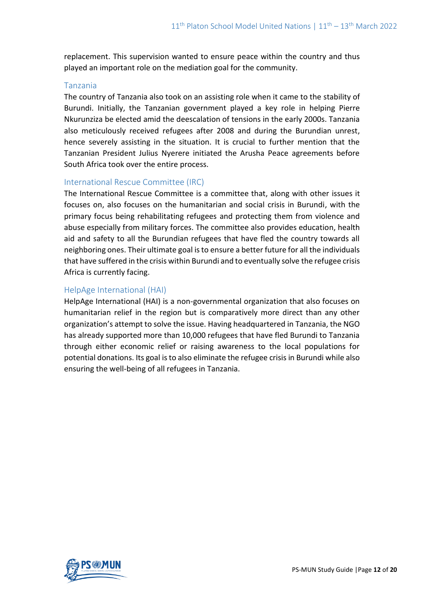replacement. This supervision wanted to ensure peace within the country and thus played an important role on the mediation goal for the community.

#### Tanzania

The country of Tanzania also took on an assisting role when it came to the stability of Burundi. Initially, the Tanzanian government played a key role in helping Pierre Nkurunziza be elected amid the deescalation of tensions in the early 2000s. Tanzania also meticulously received refugees after 2008 and during the Burundian unrest, hence severely assisting in the situation. It is crucial to further mention that the Tanzanian President Julius Nyerere initiated the Arusha Peace agreements before South Africa took over the entire process.

#### International Rescue Committee (IRC)

The International Rescue Committee is a committee that, along with other issues it focuses on, also focuses on the humanitarian and social crisis in Burundi, with the primary focus being rehabilitating refugees and protecting them from violence and abuse especially from military forces. The committee also provides education, health aid and safety to all the Burundian refugees that have fled the country towards all neighboring ones. Their ultimate goal is to ensure a better future for all the individuals that have suffered in the crisis within Burundi and to eventually solve the refugee crisis Africa is currently facing.

#### HelpAge International (HAI)

HelpAge International (HAI) is a non-governmental organization that also focuses on humanitarian relief in the region but is comparatively more direct than any other organization's attempt to solve the issue. Having headquartered in Tanzania, the NGO has already supported more than 10,000 refugees that have fled Burundi to Tanzania through either economic relief or raising awareness to the local populations for potential donations. Its goal is to also eliminate the refugee crisis in Burundi while also ensuring the well-being of all refugees in Tanzania.

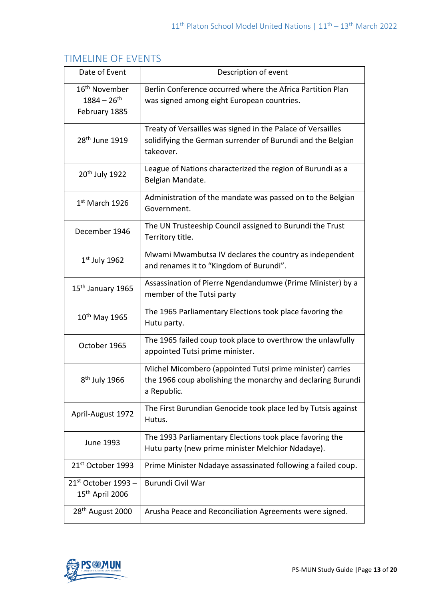# TIMELINE OF EVENTS

| Date of Event                                                  | Description of event                                                                                                                    |
|----------------------------------------------------------------|-----------------------------------------------------------------------------------------------------------------------------------------|
| 16 <sup>th</sup> November<br>$1884 - 26^{th}$<br>February 1885 | Berlin Conference occurred where the Africa Partition Plan<br>was signed among eight European countries.                                |
| 28 <sup>th</sup> June 1919                                     | Treaty of Versailles was signed in the Palace of Versailles<br>solidifying the German surrender of Burundi and the Belgian<br>takeover. |
| 20 <sup>th</sup> July 1922                                     | League of Nations characterized the region of Burundi as a<br>Belgian Mandate.                                                          |
| $1st$ March 1926                                               | Administration of the mandate was passed on to the Belgian<br>Government.                                                               |
| December 1946                                                  | The UN Trusteeship Council assigned to Burundi the Trust<br>Territory title.                                                            |
| $1st$ July 1962                                                | Mwami Mwambutsa IV declares the country as independent<br>and renames it to "Kingdom of Burundi".                                       |
| 15 <sup>th</sup> January 1965                                  | Assassination of Pierre Ngendandumwe (Prime Minister) by a<br>member of the Tutsi party                                                 |
| 10 <sup>th</sup> May 1965                                      | The 1965 Parliamentary Elections took place favoring the<br>Hutu party.                                                                 |
| October 1965                                                   | The 1965 failed coup took place to overthrow the unlawfully<br>appointed Tutsi prime minister.                                          |
| 8 <sup>th</sup> July 1966                                      | Michel Micombero (appointed Tutsi prime minister) carries<br>the 1966 coup abolishing the monarchy and declaring Burundi<br>a Republic. |
| April-August 1972                                              | The First Burundian Genocide took place led by Tutsis against<br>Hutus.                                                                 |
| <b>June 1993</b>                                               | The 1993 Parliamentary Elections took place favoring the<br>Hutu party (new prime minister Melchior Ndadaye).                           |
| 21 <sup>st</sup> October 1993                                  | Prime Minister Ndadaye assassinated following a failed coup.                                                                            |
| $21st$ October 1993 –<br>15 <sup>th</sup> April 2006           | <b>Burundi Civil War</b>                                                                                                                |
| 28 <sup>th</sup> August 2000                                   | Arusha Peace and Reconciliation Agreements were signed.                                                                                 |

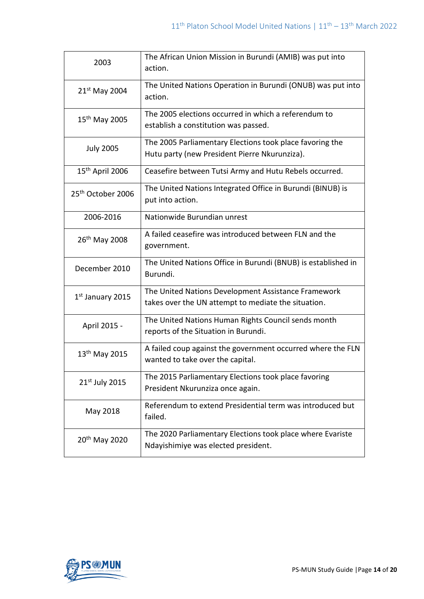| 2003                          | The African Union Mission in Burundi (AMIB) was put into<br>action.                                        |
|-------------------------------|------------------------------------------------------------------------------------------------------------|
| 21 <sup>st</sup> May 2004     | The United Nations Operation in Burundi (ONUB) was put into<br>action.                                     |
| 15 <sup>th</sup> May 2005     | The 2005 elections occurred in which a referendum to<br>establish a constitution was passed.               |
| <b>July 2005</b>              | The 2005 Parliamentary Elections took place favoring the<br>Hutu party (new President Pierre Nkurunziza).  |
| 15 <sup>th</sup> April 2006   | Ceasefire between Tutsi Army and Hutu Rebels occurred.                                                     |
| 25 <sup>th</sup> October 2006 | The United Nations Integrated Office in Burundi (BINUB) is<br>put into action.                             |
| 2006-2016                     | Nationwide Burundian unrest                                                                                |
| 26 <sup>th</sup> May 2008     | A failed ceasefire was introduced between FLN and the<br>government.                                       |
| December 2010                 | The United Nations Office in Burundi (BNUB) is established in<br>Burundi.                                  |
| 1 <sup>st</sup> January 2015  | The United Nations Development Assistance Framework<br>takes over the UN attempt to mediate the situation. |
| April 2015 -                  | The United Nations Human Rights Council sends month<br>reports of the Situation in Burundi.                |
| 13 <sup>th</sup> May 2015     | A failed coup against the government occurred where the FLN<br>wanted to take over the capital.            |
| 21 <sup>st</sup> July 2015    | The 2015 Parliamentary Elections took place favoring<br>President Nkurunziza once again.                   |
| May 2018                      | Referendum to extend Presidential term was introduced but<br>failed.                                       |
| 20 <sup>th</sup> May 2020     | The 2020 Parliamentary Elections took place where Evariste<br>Ndayishimiye was elected president.          |

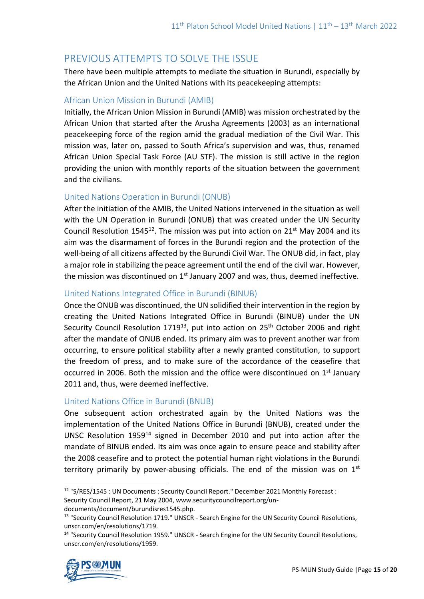# PREVIOUS ATTEMPTS TO SOLVE THE ISSUE

There have been multiple attempts to mediate the situation in Burundi, especially by the African Union and the United Nations with its peacekeeping attempts:

#### African Union Mission in Burundi (AMIB)

Initially, the African Union Mission in Burundi (AMIB) was mission orchestrated by the African Union that started after the Arusha Agreements (2003) as an international peacekeeping force of the region amid the gradual mediation of the Civil War. This mission was, later on, passed to South Africa's supervision and was, thus, renamed African Union Special Task Force (AU STF). The mission is still active in the region providing the union with monthly reports of the situation between the government and the civilians.

#### United Nations Operation in Burundi (ONUB)

After the initiation of the AMIB, the United Nations intervened in the situation as well with the UN Operation in Burundi (ONUB) that was created under the UN Security Council Resolution  $1545^{12}$ . The mission was put into action on  $21^{st}$  May 2004 and its aim was the disarmament of forces in the Burundi region and the protection of the well-being of all citizens affected by the Burundi Civil War. The ONUB did, in fact, play a major role in stabilizing the peace agreement until the end of the civil war. However, the mission was discontinued on 1<sup>st</sup> January 2007 and was, thus, deemed ineffective.

#### United Nations Integrated Office in Burundi (BINUB)

Once the ONUB was discontinued, the UN solidified their intervention in the region by creating the United Nations Integrated Office in Burundi (BINUB) under the UN Security Council Resolution 1719<sup>13</sup>, put into action on 25<sup>th</sup> October 2006 and right after the mandate of ONUB ended. Its primary aim was to prevent another war from occurring, to ensure political stability after a newly granted constitution, to support the freedom of press, and to make sure of the accordance of the ceasefire that occurred in 2006. Both the mission and the office were discontinued on 1<sup>st</sup> January 2011 and, thus, were deemed ineffective.

#### United Nations Office in Burundi (BNUB)

One subsequent action orchestrated again by the United Nations was the implementation of the United Nations Office in Burundi (BNUB), created under the UNSC Resolution 1959<sup>14</sup> signed in December 2010 and put into action after the mandate of BINUB ended. Its aim was once again to ensure peace and stability after the 2008 ceasefire and to protect the potential human right violations in the Burundi territory primarily by power-abusing officials. The end of the mission was on  $1<sup>st</sup>$ 

<sup>&</sup>lt;sup>14</sup> "Security Council Resolution 1959." UNSCR - Search Engine for the UN Security Council Resolutions. unscr.com/en/resolutions/1959.



<sup>&</sup>lt;sup>12</sup> "S/RES/1545 : UN Documents : Security Council Report." December 2021 Monthly Forecast : Security Council Report, 21 May 2004, www.securitycouncilreport.org/undocuments/document/burundisres1545.php.

<sup>&</sup>lt;sup>13</sup> "Security Council Resolution 1719." UNSCR - Search Engine for the UN Security Council Resolutions, unscr.com/en/resolutions/1719.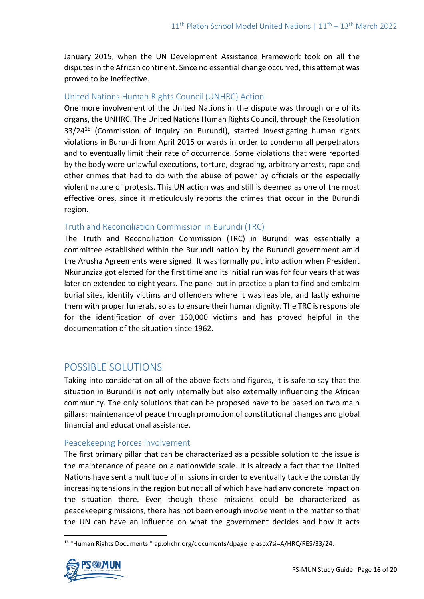January 2015, when the UN Development Assistance Framework took on all the disputes in the African continent. Since no essential change occurred, this attempt was proved to be ineffective.

#### United Nations Human Rights Council (UNHRC) Action

One more involvement of the United Nations in the dispute was through one of its organs, the UNHRC. The United Nations Human Rights Council, through the Resolution 33/24<sup>15</sup> (Commission of Inquiry on Burundi), started investigating human rights violations in Burundi from April 2015 onwards in order to condemn all perpetrators and to eventually limit their rate of occurrence. Some violations that were reported by the body were unlawful executions, torture, degrading, arbitrary arrests, rape and other crimes that had to do with the abuse of power by officials or the especially violent nature of protests. This UN action was and still is deemed as one of the most effective ones, since it meticulously reports the crimes that occur in the Burundi region.

#### Truth and Reconciliation Commission in Burundi (TRC)

The Truth and Reconciliation Commission (TRC) in Burundi was essentially a committee established within the Burundi nation by the Burundi government amid the Arusha Agreements were signed. It was formally put into action when President Nkurunziza got elected for the first time and its initial run was for four years that was later on extended to eight years. The panel put in practice a plan to find and embalm burial sites, identify victims and offenders where it was feasible, and lastly exhume them with proper funerals, so as to ensure their human dignity. The TRC is responsible for the identification of over 150,000 victims and has proved helpful in the documentation of the situation since 1962.

### POSSIBLE SOLUTIONS

Taking into consideration all of the above facts and figures, it is safe to say that the situation in Burundi is not only internally but also externally influencing the African community. The only solutions that can be proposed have to be based on two main pillars: maintenance of peace through promotion of constitutional changes and global financial and educational assistance.

#### Peacekeeping Forces Involvement

The first primary pillar that can be characterized as a possible solution to the issue is the maintenance of peace on a nationwide scale. It is already a fact that the United Nations have sent a multitude of missions in order to eventually tackle the constantly increasing tensions in the region but not all of which have had any concrete impact on the situation there. Even though these missions could be characterized as peacekeeping missions, there has not been enough involvement in the matter so that the UN can have an influence on what the government decides and how it acts

<sup>15</sup> "Human Rights Documents." ap.ohchr.org/documents/dpage\_e.aspx?si=A/HRC/RES/33/24.

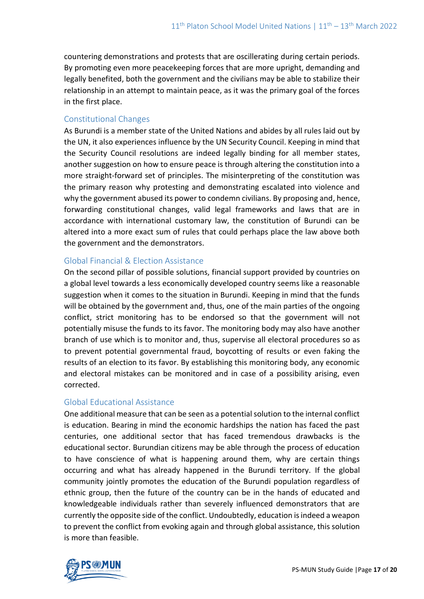countering demonstrations and protests that are oscillerating during certain periods. By promoting even more peacekeeping forces that are more upright, demanding and legally benefited, both the government and the civilians may be able to stabilize their relationship in an attempt to maintain peace, as it was the primary goal of the forces in the first place.

#### Constitutional Changes

As Burundi is a member state of the United Nations and abides by all rules laid out by the UN, it also experiences influence by the UN Security Council. Keeping in mind that the Security Council resolutions are indeed legally binding for all member states, another suggestion on how to ensure peace is through altering the constitution into a more straight-forward set of principles. The misinterpreting of the constitution was the primary reason why protesting and demonstrating escalated into violence and why the government abused its power to condemn civilians. By proposing and, hence, forwarding constitutional changes, valid legal frameworks and laws that are in accordance with international customary law, the constitution of Burundi can be altered into a more exact sum of rules that could perhaps place the law above both the government and the demonstrators.

#### Global Financial & Election Assistance

On the second pillar of possible solutions, financial support provided by countries on a global level towards a less economically developed country seems like a reasonable suggestion when it comes to the situation in Burundi. Keeping in mind that the funds will be obtained by the government and, thus, one of the main parties of the ongoing conflict, strict monitoring has to be endorsed so that the government will not potentially misuse the funds to its favor. The monitoring body may also have another branch of use which is to monitor and, thus, supervise all electoral procedures so as to prevent potential governmental fraud, boycotting of results or even faking the results of an election to its favor. By establishing this monitoring body, any economic and electoral mistakes can be monitored and in case of a possibility arising, even corrected.

#### Global Educational Assistance

One additional measure that can be seen as a potential solution to the internal conflict is education. Bearing in mind the economic hardships the nation has faced the past centuries, one additional sector that has faced tremendous drawbacks is the educational sector. Burundian citizens may be able through the process of education to have conscience of what is happening around them, why are certain things occurring and what has already happened in the Burundi territory. If the global community jointly promotes the education of the Burundi population regardless of ethnic group, then the future of the country can be in the hands of educated and knowledgeable individuals rather than severely influenced demonstrators that are currently the opposite side of the conflict. Undoubtedly, education is indeed a weapon to prevent the conflict from evoking again and through global assistance, this solution is more than feasible.

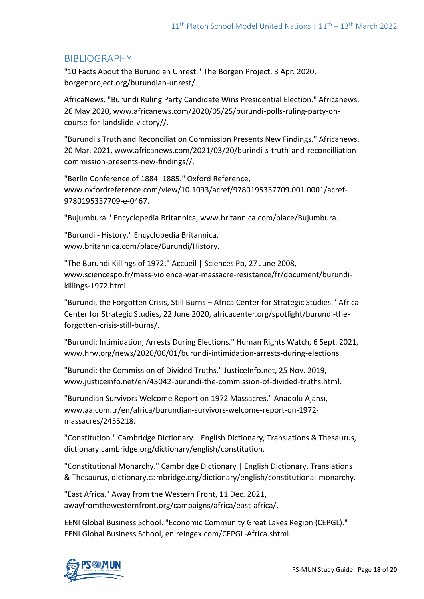### BIBLIOGRAPHY

"10 Facts About the Burundian Unrest." The Borgen Project, 3 Apr. 2020, borgenproject.org/burundian-unrest/.

AfricaNews. "Burundi Ruling Party Candidate Wins Presidential Election." Africanews, 26 May 2020, www.africanews.com/2020/05/25/burundi-polls-ruling-party-oncourse-for-landslide-victory//.

"Burundi's Truth and Reconciliation Commission Presents New Findings." Africanews, 20 Mar. 2021, www.africanews.com/2021/03/20/burindi-s-truth-and-reconcilliationcommission-presents-new-findings//.

"Berlin Conference of 1884–1885." Oxford Reference, www.oxfordreference.com/view/10.1093/acref/9780195337709.001.0001/acref-9780195337709-e-0467.

"Bujumbura." Encyclopedia Britannica, www.britannica.com/place/Bujumbura.

"Burundi - History." Encyclopedia Britannica, www.britannica.com/place/Burundi/History.

"The Burundi Killings of 1972." Accueil | Sciences Po, 27 June 2008, www.sciencespo.fr/mass-violence-war-massacre-resistance/fr/document/burundikillings-1972.html.

"Burundi, the Forgotten Crisis, Still Burns – Africa Center for Strategic Studies." Africa Center for Strategic Studies, 22 June 2020, africacenter.org/spotlight/burundi-theforgotten-crisis-still-burns/.

"Burundi: Intimidation, Arrests During Elections." Human Rights Watch, 6 Sept. 2021, www.hrw.org/news/2020/06/01/burundi-intimidation-arrests-during-elections.

"Burundi: the Commission of Divided Truths." JusticeInfo.net, 25 Nov. 2019, www.justiceinfo.net/en/43042-burundi-the-commission-of-divided-truths.html.

"Burundian Survivors Welcome Report on 1972 Massacres." Anadolu Ajansı, www.aa.com.tr/en/africa/burundian-survivors-welcome-report-on-1972 massacres/2455218.

"Constitution." Cambridge Dictionary | English Dictionary, Translations & Thesaurus, dictionary.cambridge.org/dictionary/english/constitution.

"Constitutional Monarchy." Cambridge Dictionary | English Dictionary, Translations & Thesaurus, dictionary.cambridge.org/dictionary/english/constitutional-monarchy.

"East Africa." Away from the Western Front, 11 Dec. 2021, awayfromthewesternfront.org/campaigns/africa/east-africa/.

EENI Global Business School. "Economic Community Great Lakes Region (CEPGL)." EENI Global Business School, en.reingex.com/CEPGL-Africa.shtml.

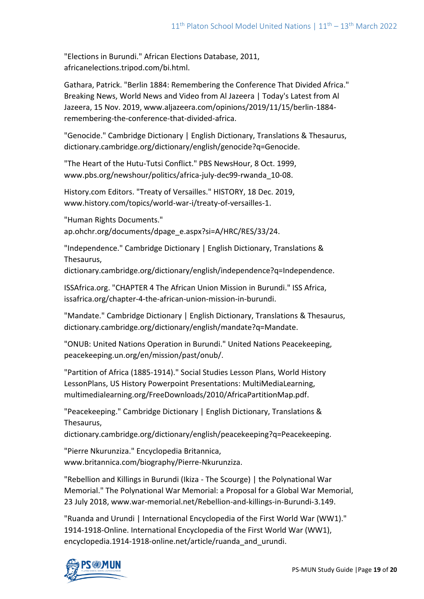"Elections in Burundi." African Elections Database, 2011, africanelections.tripod.com/bi.html.

Gathara, Patrick. "Berlin 1884: Remembering the Conference That Divided Africa." Breaking News, World News and Video from Al Jazeera | Today's Latest from Al Jazeera, 15 Nov. 2019, www.aljazeera.com/opinions/2019/11/15/berlin-1884 remembering-the-conference-that-divided-africa.

"Genocide." Cambridge Dictionary | English Dictionary, Translations & Thesaurus, dictionary.cambridge.org/dictionary/english/genocide?q=Genocide.

"The Heart of the Hutu-Tutsi Conflict." PBS NewsHour, 8 Oct. 1999, www.pbs.org/newshour/politics/africa-july-dec99-rwanda\_10-08.

History.com Editors. "Treaty of Versailles." HISTORY, 18 Dec. 2019, www.history.com/topics/world-war-i/treaty-of-versailles-1.

"Human Rights Documents." ap.ohchr.org/documents/dpage\_e.aspx?si=A/HRC/RES/33/24.

"Independence." Cambridge Dictionary | English Dictionary, Translations & Thesaurus,

dictionary.cambridge.org/dictionary/english/independence?q=Independence.

ISSAfrica.org. "CHAPTER 4 The African Union Mission in Burundi." ISS Africa, issafrica.org/chapter-4-the-african-union-mission-in-burundi.

"Mandate." Cambridge Dictionary | English Dictionary, Translations & Thesaurus, dictionary.cambridge.org/dictionary/english/mandate?q=Mandate.

"ONUB: United Nations Operation in Burundi." United Nations Peacekeeping, peacekeeping.un.org/en/mission/past/onub/.

"Partition of Africa (1885-1914)." Social Studies Lesson Plans, World History LessonPlans, US History Powerpoint Presentations: MultiMediaLearning, multimedialearning.org/FreeDownloads/2010/AfricaPartitionMap.pdf.

"Peacekeeping." Cambridge Dictionary | English Dictionary, Translations & Thesaurus,

dictionary.cambridge.org/dictionary/english/peacekeeping?q=Peacekeeping.

"Pierre Nkurunziza." Encyclopedia Britannica, www.britannica.com/biography/Pierre-Nkurunziza.

"Rebellion and Killings in Burundi (Ikiza - The Scourge) | the Polynational War Memorial." The Polynational War Memorial: a Proposal for a Global War Memorial, 23 July 2018, www.war-memorial.net/Rebellion-and-killings-in-Burundi-3.149.

"Ruanda and Urundi | International Encyclopedia of the First World War (WW1)." 1914-1918-Online. International Encyclopedia of the First World War (WW1), encyclopedia.1914-1918-online.net/article/ruanda\_and\_urundi.